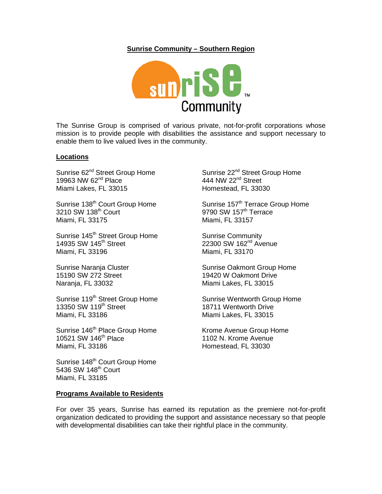## **Sunrise Community – Southern Region**



The Sunrise Group is comprised of various private, not-for-profit corporations whose mission is to provide people with disabilities the assistance and support necessary to enable them to live valued lives in the community.

## **Locations**

Sunrise 62<sup>nd</sup> Street Group Home 19963 NW  $62<sup>nd</sup>$  Place Miami Lakes, FL 33015

Sunrise 138<sup>th</sup> Court Group Home 3210 SW 138<sup>th</sup> Court Miami, FL 33175

Sunrise 145<sup>th</sup> Street Group Home 14935 SW 145<sup>th</sup> Street Miami, FL 33196

Sunrise Naranja Cluster 15190 SW 272 Street Naranja, FL 33032

Sunrise 119<sup>th</sup> Street Group Home 13350 SW 119<sup>th</sup> Street Miami, FL 33186

Sunrise 146<sup>th</sup> Place Group Home 10521 SW 146<sup>th</sup> Place Miami, FL 33186

Sunrise 148<sup>th</sup> Court Group Home 5436 SW 148<sup>th</sup> Court Miami, FL 33185

## **Programs Available to Residents**

Sunrise 22<sup>nd</sup> Street Group Home 444 NW  $22<sup>nd</sup>$  Street Homestead, FL 33030

Sunrise 157<sup>th</sup> Terrace Group Home 9790 SW 157<sup>th</sup> Terrace Miami, FL 33157

Sunrise Community 22300 SW 162<sup>nd</sup> Avenue Miami, FL 33170

Sunrise Oakmont Group Home 19420 W Oakmont Drive Miami Lakes, FL 33015

Sunrise Wentworth Group Home 18711 Wentworth Drive Miami Lakes, FL 33015

Krome Avenue Group Home 1102 N. Krome Avenue Homestead, FL 33030

[For over 35 years,](http://www.sunrisegroup.org/history.htm) Sunrise has earned its reputation as the premiere not-for-profit organization dedicated to providing the support and assistance necessary so that people with developmental disabilities can take their rightful place in the community.